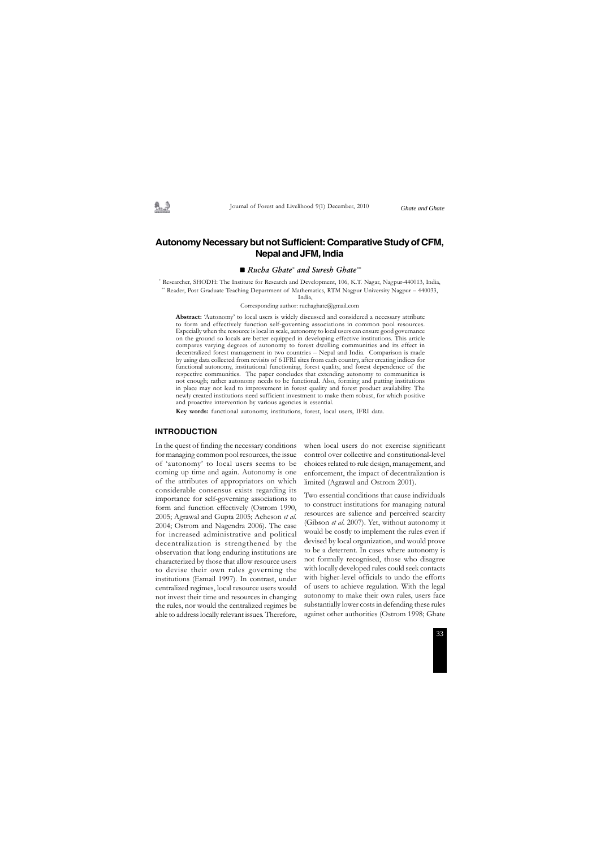### **Autonomy Necessary but not Sufficient: Comparative Study of CFM, Nepal and JFM, India**

#### ■ *Rucha Ghate\* and Suresh Ghate\*\**

In the quest of finding the necessary conditions for managing common pool resources, the issue of 'autonomy' to local users seems to be coming up time and again. Autonomy is one of the attributes of appropriators on which considerable consensus exists regarding its importance for self-governing associations to form and function effectively (Ostrom 1990, 2005; Agrawal and Gupta 2005; Acheson *et al*. 2004; Ostrom and Nagendra 2006). The case for increased administrative and political decentralization is strengthened by the observation that long enduring institutions are characterized by those that allow resource users to devise their own rules governing the institutions (Esmail 1997). In contrast, under centralized regimes, local resource users would not invest their time and resources in changing the rules, nor would the centralized regimes be able to address locally relevant issues. Therefore,

**Abstract:** 'Autonomy' to local users is widely discussed and considered a necessary attribute to form and effectively function self-governing associations in common pool resources. Especially when the resource is local in scale, autonomy to local users can ensure good governance on the ground so locals are better equipped in developing effective institutions. This article compares varying degrees of autonomy to forest dwelling communities and its effect in decentralized forest management in two countries – Nepal and India. Comparison is made by using data collected from revisits of 6 IFRI sites from each country, after creating indices for functional autonomy, institutional functioning, forest quality, and forest dependence of the respective communities. The paper concludes that extending autonomy to communities is not enough; rather autonomy needs to be functional. Also, forming and putting institutions in place may not lead to improvement in forest quality and forest product availability. The newly created institutions need sufficient investment to make them robust, for which positive and proactive intervention by various agencies is essential.

**Key words:** functional autonomy, institutions, forest, local users, IFRI data.

#### **INTRODUCTION**

when local users do not exercise significant control over collective and constitutional-level choices related to rule design, management, and enforcement, the impact of decentralization is limited (Agrawal and Ostrom 2001).

Two essential conditions that cause individuals to construct institutions for managing natural resources are salience and perceived scarcity (Gibson *et al*. 2007). Yet, without autonomy it would be costly to implement the rules even if devised by local organization, and would prove to be a deterrent. In cases where autonomy is not formally recognised, those who disagree with locally developed rules could seek contacts with higher-level officials to undo the efforts of users to achieve regulation. With the legal autonomy to make their own rules, users face substantially lower costs in defending these rules against other authorities (Ostrom 1998; Ghate

\* Researcher, SHODH: The Institute for Research and Development, 106, K.T. Nagar, Nagpur-440013, India, \*\* Reader, Post Graduate Teaching Department of Mathematics, RTM Nagpur University Nagpur – 440033,

India,

Corresponding author: ruchaghate@gmail.com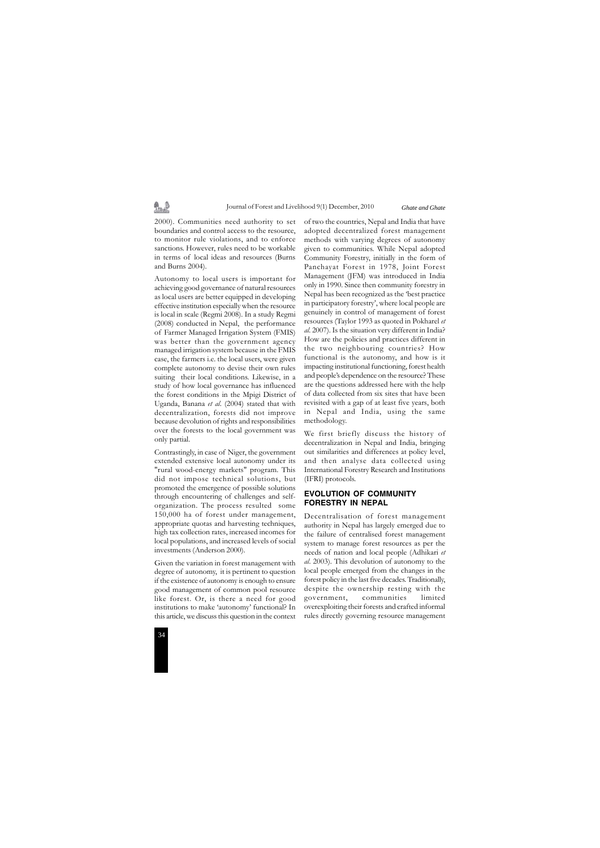

2000). Communities need authority to set boundaries and control access to the resource, to monitor rule violations, and to enforce sanctions. However, rules need to be workable in terms of local ideas and resources (Burns and Burns 2004).

乳垫

Autonomy to local users is important for achieving good governance of natural resources as local users are better equipped in developing effective institution especially when the resource is local in scale (Regmi 2008). In a study Regmi (2008) conducted in Nepal, the performance of Farmer Managed Irrigation System (FMIS) was better than the government agency managed irrigation system because in the FMIS case, the farmers i.e. the local users, were given complete autonomy to devise their own rules suiting their local conditions. Likewise, in a study of how local governance has influenced the forest conditions in the Mpigi District of Uganda, Banana *et al*. (2004) stated that with decentralization, forests did not improve because devolution of rights and responsibilities over the forests to the local government was only partial.

Contrastingly, in case of Niger, the government extended extensive local autonomy under its "rural wood-energy markets" program. This did not impose technical solutions, but promoted the emergence of possible solutions through encountering of challenges and selforganization. The process resulted some 150,000 ha of forest under management, appropriate quotas and harvesting techniques, high tax collection rates, increased incomes for local populations, and increased levels of social investments (Anderson 2000).

Given the variation in forest management with degree of autonomy, it is pertinent to question if the existence of autonomy is enough to ensure good management of common pool resource like forest. Or, is there a need for good institutions to make 'autonomy' functional? In this article, we discuss this question in the context of two the countries, Nepal and India that have adopted decentralized forest management methods with varying degrees of autonomy given to communities. While Nepal adopted Community Forestry, initially in the form of Panchayat Forest in 1978, Joint Forest Management (JFM) was introduced in India only in 1990. Since then community forestry in Nepal has been recognized as the 'best practice in participatory forestry', where local people are genuinely in control of management of forest resources (Taylor 1993 as quoted in Pokharel *et al*. 2007). Is the situation very different in India? How are the policies and practices different in the two neighbouring countries? How functional is the autonomy, and how is it impacting institutional functioning, forest health and people's dependence on the resource? These are the questions addressed here with the help of data collected from six sites that have been revisited with a gap of at least five years, both in Nepal and India, using the same methodology.

We first briefly discuss the history of decentralization in Nepal and India, bringing out similarities and differences at policy level, and then analyse data collected using International Forestry Research and Institutions (IFRI) protocols.

### **EVOLUTION OF COMMUNITY FORESTRY IN NEPAL**

Decentralisation of forest management authority in Nepal has largely emerged due to the failure of centralised forest management system to manage forest resources as per the needs of nation and local people (Adhikari *et al*. 2003). This devolution of autonomy to the local people emerged from the changes in the forest policy in the last five decades. Traditionally, despite the ownership resting with the government, communities limited overexploiting their forests and crafted informal rules directly governing resource management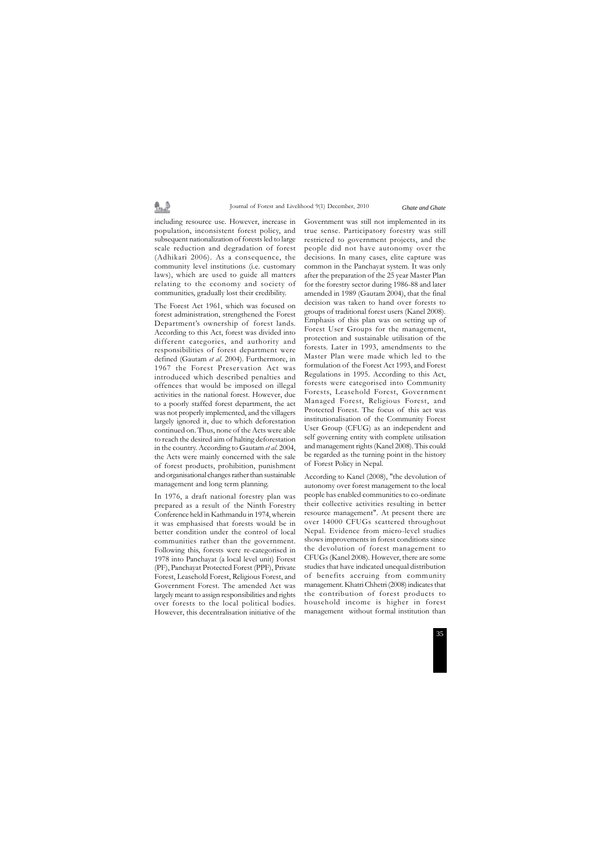including resource use. However, increase in population, inconsistent forest policy, and subsequent nationalization of forests led to large scale reduction and degradation of forest (Adhikari 2006). As a consequence, the community level institutions (i.e. customary laws), which are used to guide all matters relating to the economy and society of communities, gradually lost their credibility.

最適

The Forest Act 1961, which was focused on forest administration, strengthened the Forest Department's ownership of forest lands. According to this Act, forest was divided into different categories, and authority and responsibilities of forest department were defined (Gautam *et al*. 2004). Furthermore, in 1967 the Forest Preservation Act was introduced which described penalties and offences that would be imposed on illegal activities in the national forest. However, due to a poorly staffed forest department, the act was not properly implemented, and the villagers largely ignored it, due to which deforestation continued on. Thus, none of the Acts were able to reach the desired aim of halting deforestation in the country. According to Gautam *et al*. 2004, the Acts were mainly concerned with the sale of forest products, prohibition, punishment and organisational changes rather than sustainable management and long term planning.

In 1976, a draft national forestry plan was prepared as a result of the Ninth Forestry Conference held in Kathmandu in 1974, wherein it was emphasised that forests would be in better condition under the control of local communities rather than the government. Following this, forests were re-categorised in 1978 into Panchayat (a local level unit) Forest (PF), Panchayat Protected Forest (PPF), Private Forest, Leasehold Forest, Religious Forest, and Government Forest. The amended Act was largely meant to assign responsibilities and rights over forests to the local political bodies. However, this decentralisation initiative of the Government was still not implemented in its true sense. Participatory forestry was still restricted to government projects, and the people did not have autonomy over the decisions. In many cases, elite capture was common in the Panchayat system. It was only after the preparation of the 25 year Master Plan for the forestry sector during 1986-88 and later amended in 1989 (Gautam 2004), that the final decision was taken to hand over forests to groups of traditional forest users (Kanel 2008). Emphasis of this plan was on setting up of Forest User Groups for the management, protection and sustainable utilisation of the forests. Later in 1993, amendments to the Master Plan were made which led to the formulation of the Forest Act 1993, and Forest Regulations in 1995. According to this Act, forests were categorised into Community Forests, Leasehold Forest, Government Managed Forest, Religious Forest, and Protected Forest. The focus of this act was institutionalisation of the Community Forest User Group (CFUG) as an independent and self governing entity with complete utilisation and management rights (Kanel 2008). This could be regarded as the turning point in the history of Forest Policy in Nepal.

According to Kanel (2008), "the devolution of autonomy over forest management to the local people has enabled communities to co-ordinate their collective activities resulting in better resource management". At present there are over 14000 CFUGs scattered throughout Nepal. Evidence from micro-level studies shows improvements in forest conditions since the devolution of forest management to CFUGs (Kanel 2008). However, there are some studies that have indicated unequal distribution of benefits accruing from community management. Khatri Chhetri (2008) indicates that the contribution of forest products to household income is higher in forest management without formal institution than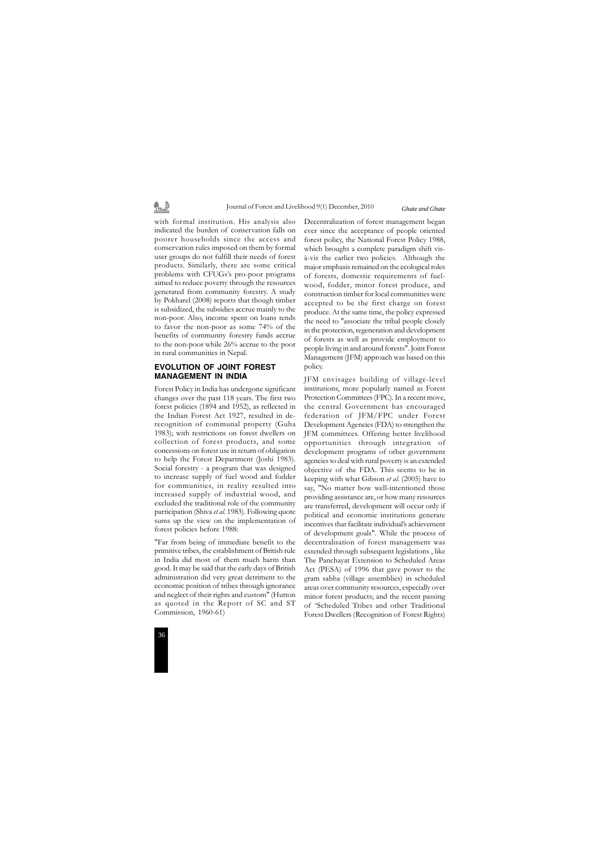

with formal institution. His analysis also indicated the burden of conservation falls on poorer households since the access and conservation rules imposed on them by formal user groups do not fulfill their needs of forest products. Similarly, there are some critical problems with CFUGs's pro-poor programs aimed to reduce poverty through the resources generated from community forestry. A study by Pokharel (2008) reports that though timber is subsidized, the subsidies accrue mainly to the non-poor. Also, income spent on loans tends to favor the non-poor as some 74% of the benefits of community forestry funds accrue to the non-poor while 26% accrue to the poor in rural communities in Nepal.

### **EVOLUTION OF JOINT FOREST MANAGEMENT IN INDIA**

Forest Policy in India has undergone significant changes over the past 118 years. The first two forest policies (1894 and 1952), as reflected in the Indian Forest Act 1927, resulted in derecognition of communal property (Guha 1983); with restrictions on forest dwellers on collection of forest products, and some concessions on forest use in return of obligation to help the Forest Department (Joshi 1983). Social forestry - a program that was designed to increase supply of fuel wood and fodder for communities, in reality resulted into increased supply of industrial wood, and excluded the traditional role of the community participation (Shiva *et al*. 1983). Following quote sums up the view on the implementation of forest policies before 1988:

"Far from being of immediate benefit to the primitive tribes, the establishment of British rule in India did most of them much harm than good. It may be said that the early days of British administration did very great detriment to the economic position of tribes through ignorance and neglect of their rights and custom" (Hutton as quoted in the Report of SC and ST Commission, 1960-61)

Decentralization of forest management began ever since the acceptance of people oriented forest policy, the National Forest Policy 1988, which brought a complete paradigm shift visà-vis the earlier two policies. Although the major emphasis remained on the ecological roles of forests, domestic requirements of fuelwood, fodder, minor forest produce, and construction timber for local communities were accepted to be the first charge on forest produce. At the same time, the policy expressed the need to "associate the tribal people closely in the protection, regeneration and development of forests as well as provide employment to people living in and around forests". Joint Forest Management (JFM) approach was based on this policy.

JFM envisages building of village-level institutions, more popularly named as Forest Protection Committees (FPC). In a recent move, the central Government has encouraged federation of JFM/FPC under Forest Development Agencies (FDA) to strengthen the JFM committees. Offering better livelihood opportunities through integration of development programs of other government agencies to deal with rural poverty is an extended objective of the FDA. This seems to be in keeping with what Gibson *et al*. (2005) have to say, "No matter how well-intentioned those providing assistance are, or how many resources are transferred, development will occur only if political and economic institutions generate incentives that facilitate individual's achievement of development goals". While the process of decentralisation of forest management was extended through subsequent legislations , like The Panchayat Extension to Scheduled Areas Act (PESA) of 1996 that gave power to the gram sabha (village assemblies) in scheduled areas over community resources, especially over minor forest products; and the recent passing of 'Scheduled Tribes and other Traditional Forest Dwellers (Recognition of Forest Rights)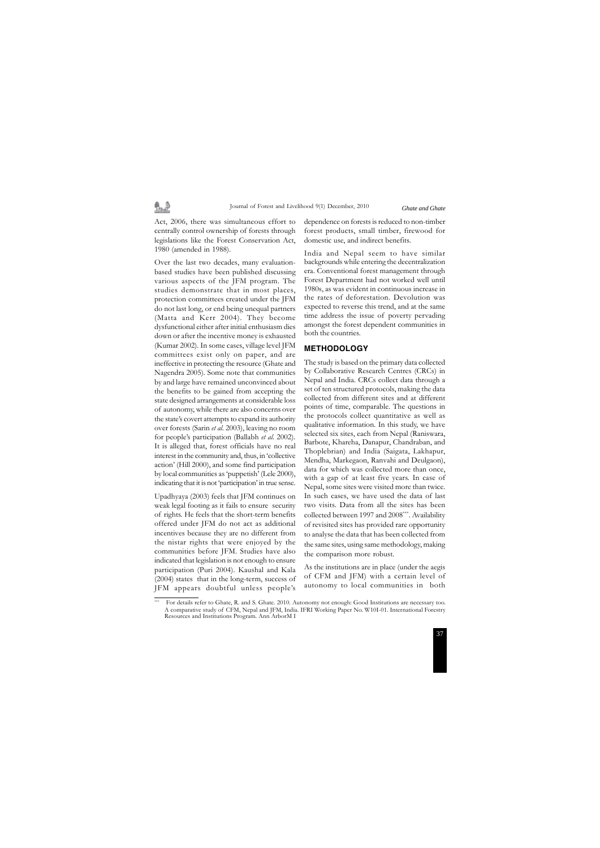Act, 2006, there was simultaneous effort to centrally control ownership of forests through legislations like the Forest Conservation Act, 1980 (amended in 1988).

魯..

Over the last two decades, many evaluationbased studies have been published discussing various aspects of the JFM program. The studies demonstrate that in most places, protection committees created under the JFM do not last long, or end being unequal partners (Matta and Kerr 2004). They become dysfunctional either after initial enthusiasm dies down or after the incentive money is exhausted (Kumar 2002). In some cases, village level JFM committees exist only on paper, and are ineffective in protecting the resource (Ghate and Nagendra 2005). Some note that communities by and large have remained unconvinced about the benefits to be gained from accepting the state designed arrangements at considerable loss of autonomy, while there are also concerns over the state's covert attempts to expand its authority over forests (Sarin *et al*. 2003), leaving no room for people's participation (Ballabh *et al*. 2002). It is alleged that, forest officials have no real interest in the community and, thus, in 'collective action' (Hill 2000), and some find participation by local communities as 'puppetish' (Lele 2000), indicating that it is not 'participation' in true sense.

Upadhyaya (2003) feels that JFM continues on weak legal footing as it fails to ensure security of rights. He feels that the short-term benefits offered under JFM do not act as additional incentives because they are no different from the nistar rights that were enjoyed by the communities before JFM. Studies have also indicated that legislation is not enough to ensure participation (Puri 2004). Kaushal and Kala (2004) states that in the long-term, success of JFM appears doubtful unless people's dependence on forests is reduced to non-timber forest products, small timber, firewood for domestic use, and indirect benefits.

India and Nepal seem to have similar backgrounds while entering the decentralization era. Conventional forest management through Forest Department had not worked well until 1980s, as was evident in continuous increase in the rates of deforestation. Devolution was expected to reverse this trend, and at the same time address the issue of poverty pervading amongst the forest dependent communities in both the countries.

#### **METHODOLOGY**

The study is based on the primary data collected by Collaborative Research Centres (CRCs) in Nepal and India. CRCs collect data through a set of ten structured protocols, making the data collected from different sites and at different points of time, comparable. The questions in the protocols collect quantitative as well as qualitative information. In this study, we have selected six sites, each from Nepal (Raniswara, Barbote, Khareha, Danapur, Chandraban, and Thoplebrian) and India (Saigata, Lakhapur, Mendha, Markegaon, Ranvahi and Deulgaon), data for which was collected more than once, with a gap of at least five years. In case of Nepal, some sites were visited more than twice. In such cases, we have used the data of last two visits. Data from all the sites has been collected between 1997 and 2008\*\*\*. Availability of revisited sites has provided rare opportunity to analyse the data that has been collected from the same sites, using same methodology, making the comparison more robust.

As the institutions are in place (under the aegis of CFM and JFM) with a certain level of autonomy to local communities in both

<sup>\*\*\*</sup> For details refer to Ghate, R. and S. Ghate. 2010. Autonomy not enough: Good Institutions are necessary too. A comparative study of CFM, Nepal and JFM, India. IFRI Working Paper No. W10I-01. International Forestry Resources and Institutions Program. Ann ArborM I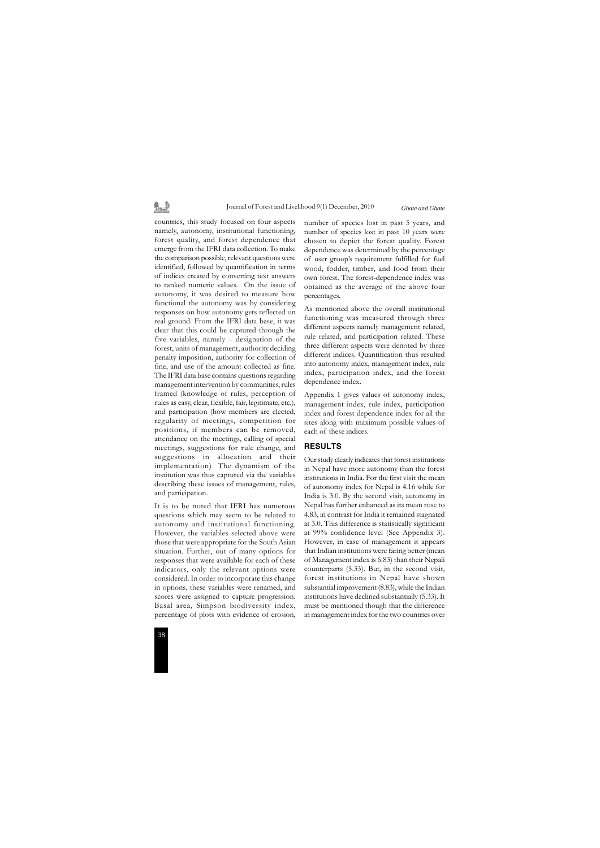劉逵



countries, this study focused on four aspects namely, autonomy, institutional functioning, forest quality, and forest dependence that emerge from the IFRI data collection. To make the comparison possible, relevant questions were identified, followed by quantification in terms of indices created by converting text answers to ranked numeric values. On the issue of autonomy, it was desired to measure how functional the autonomy was by considering responses on how autonomy gets reflected on real ground. From the IFRI data base, it was clear that this could be captured through the five variables, namely – designation of the forest, units of management, authority deciding penalty imposition, authority for collection of fine, and use of the amount collected as fine. The IFRI data base contains questions regarding management intervention by communities, rules framed (knowledge of rules, perception of rules as easy, clear, flexible, fair, legitimate, etc.), and participation (how members are elected, regularity of meetings, competition for positions, if members can be removed, attendance on the meetings, calling of special meetings, suggestions for rule change, and suggestions in allocation and their implementation). The dynamism of the institution was thus captured via the variables describing these issues of management, rules, and participation.

It is to be noted that IFRI has numerous questions which may seem to be related to autonomy and institutional functioning. However, the variables selected above were those that were appropriate for the South Asian situation. Further, out of many options for responses that were available for each of these indicators, only the relevant options were considered. In order to incorporate this change in options, these variables were renamed, and scores were assigned to capture progression. Basal area, Simpson biodiversity index, percentage of plots with evidence of erosion,

number of species lost in past 5 years, and number of species lost in past 10 years were chosen to depict the forest quality. Forest dependence was determined by the percentage of user group's requirement fulfilled for fuel wood, fodder, timber, and food from their own forest. The forest-dependence index was obtained as the average of the above four percentages.

As mentioned above the overall institutional functioning was measured through three different aspects namely management related, rule related, and participation related. These three different aspects were denoted by three different indices. Quantification thus resulted into autonomy index, management index, rule index, participation index, and the forest dependence index.

Appendix 1 gives values of autonomy index, management index, rule index, participation index and forest dependence index for all the sites along with maximum possible values of each of these indices.

#### **RESULTS**

Our study clearly indicates that forest institutions in Nepal have more autonomy than the forest institutions in India. For the first visit the mean of autonomy index for Nepal is 4.16 while for India is 3.0. By the second visit, autonomy in Nepal has further enhanced as its mean rose to 4.83, in contrast for India it remained stagnated at 3.0. This difference is statistically significant at 99% confidence level (See Appendix 3). However, in case of management it appears that Indian institutions were faring better (mean of Management index is 6.83) than their Nepali counterparts (5.33). But, in the second visit, forest institutions in Nepal have shown substantial improvement (8.83), while the Indian institutions have declined substantially (5.33). It must be mentioned though that the difference in management index for the two countries over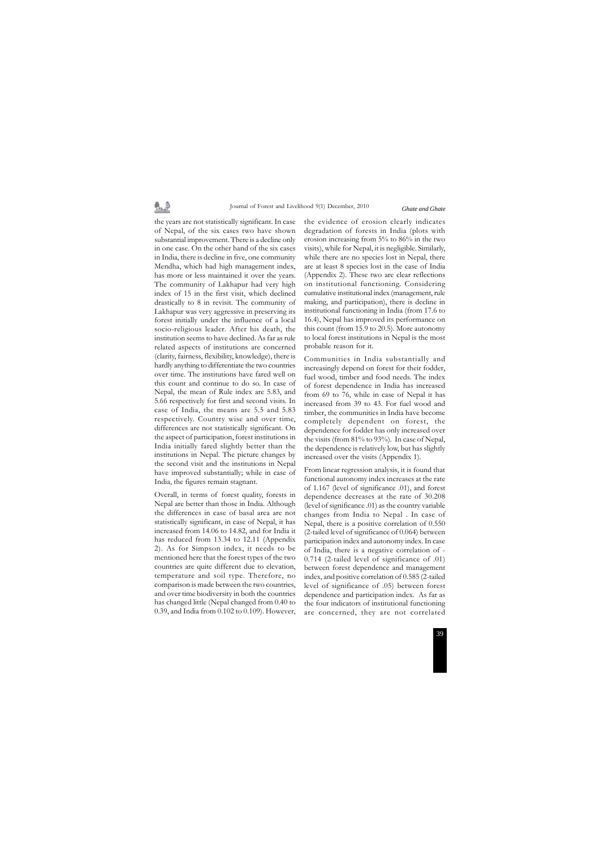# 鼻垂

Journal of Forest and Livelihood 9(1) December, 2010

the years are not statistically significant. In case of Nepal, of the six cases two have shown substantial improvement. There is a decline only in one case. On the other hand of the six cases in India, there is decline in five, one community Mendha, which had high management index, has more or less maintained it over the years. The community of Lakhapur had very high index of 15 in the first visit, which declined drastically to 8 in revisit. The community of Lakhapur was very aggressive in preserving its forest initially under the influence of a local socio-religious leader. After his death, the institution seems to have declined. As far as rule related aspects of institutions are concerned (clarity, fairness, flexibility, knowledge), there is hardly anything to differentiate the two countries over time. The institutions have fared well on this count and continue to do so. In case of Nepal, the mean of Rule index are 5.83, and 5.66 respectively for first and second visits. In case of India, the means are 5.5 and 5.83 respectively. Country wise and over time, differences are not statistically significant. On the aspect of participation, forest institutions in India initially fared slightly better than the institutions in Nepal. The picture changes by the second visit and the institutions in Nepal have improved substantially; while in case of India, the figures remain stagnant.

Overall, in terms of forest quality, forests in Nepal are better than those in India. Although the differences in case of basal area are not statistically significant, in case of Nepal, it has increased from 14.06 to 14.82, and for India it has reduced from 13.34 to 12.11 (Appendix 2). As for Simpson index, it needs to be mentioned here that the forest types of the two countries are quite different due to elevation, temperature and soil type. Therefore, no comparison is made between the two countries, and over time biodiversity in both the countries has changed little (Nepal changed from 0.40 to 0.39, and India from 0.102 to 0.109). However,

the evidence of erosion clearly indicates degradation of forests in India (plots with erosion increasing from 5% to 86% in the two visits), while for Nepal, it is negligible. Similarly, while there are no species lost in Nepal, there are at least 8 species lost in the case of India (Appendix 2). These two are clear reflections on institutional functioning. Considering cumulative institutional index (management, rule making, and participation), there is decline in institutional functioning in India (from 17.6 to 16.4), Nepal has improved its performance on this count (from 15.9 to 20.5). More autonomy to local forest institutions in Nepal is the most probable reason for it.

Communities in India substantially and increasingly depend on forest for their fodder, fuel wood, timber and food needs. The index of forest dependence in India has increased from 69 to 76, while in case of Nepal it has increased from 39 to 43. For fuel wood and timber, the communities in India have become completely dependent on forest, the dependence for fodder has only increased over the visits (from 81% to 93%). In case of Nepal, the dependence is relatively low, but has slightly increased over the visits (Appendix 1).

From linear regression analysis, it is found that functional autonomy index increases at the rate of 1.167 (level of significance .01), and forest dependence decreases at the rate of 30.208 (level of significance .01) as the country variable changes from India to Nepal . In case of Nepal, there is a positive correlation of 0.550 (2-tailed level of significance of 0.064) between participation index and autonomy index. In case of India, there is a negative correlation of - 0.714 (2-tailed level of significance of .01) between forest dependence and management index, and positive correlation of 0.585 (2-tailed level of significance of .05) between forest dependence and participation index. As far as the four indicators of institutional functioning are concerned, they are not correlated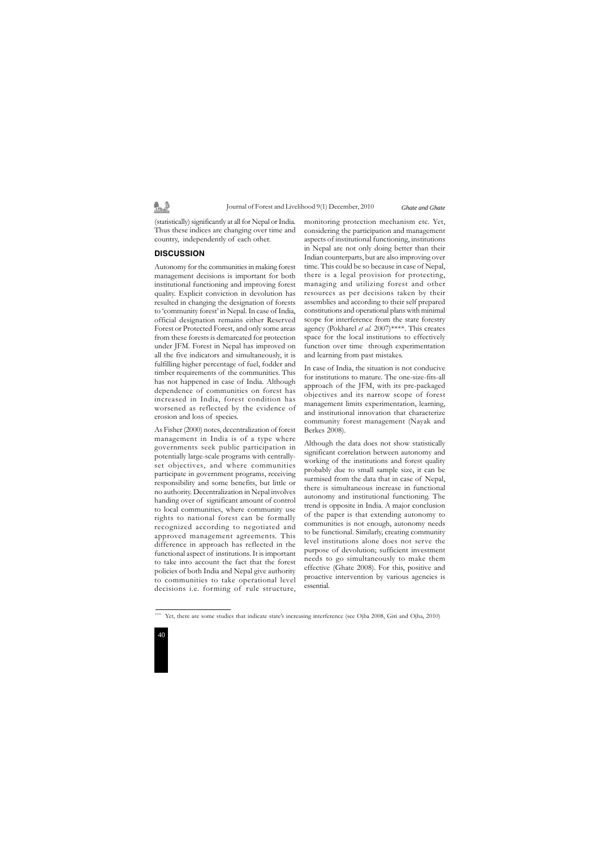

(statistically) significantly at all for Nepal or India. Thus these indices are changing over time and country, independently of each other.

#### **DISCUSSION**

劉逵

Autonomy for the communities in making forest management decisions is important for both institutional functioning and improving forest quality. Explicit conviction in devolution has resulted in changing the designation of forests to 'community forest' in Nepal. In case of India, official designation remains either Reserved Forest or Protected Forest, and only some areas from these forests is demarcated for protection under JFM. Forest in Nepal has improved on all the five indicators and simultaneously, it is fulfilling higher percentage of fuel, fodder and timber requirements of the communities. This has not happened in case of India. Although dependence of communities on forest has increased in India, forest condition has worsened as reflected by the evidence of erosion and loss of species.

As Fisher (2000) notes, decentralization of forest management in India is of a type where governments seek public participation in potentially large-scale programs with centrallyset objectives, and where communities participate in government programs, receiving responsibility and some benefits, but little or no authority. Decentralization in Nepal involves handing over of significant amount of control to local communities, where community use rights to national forest can be formally recognized according to negotiated and approved management agreements. This difference in approach has reflected in the functional aspect of institutions. It is important to take into account the fact that the forest policies of both India and Nepal give authority to communities to take operational level decisions i.e. forming of rule structure,

monitoring protection mechanism etc. Yet, considering the participation and management aspects of institutional functioning, institutions in Nepal are not only doing better than their Indian counterparts, but are also improving over time. This could be so because in case of Nepal, there is a legal provision for protecting, managing and utilizing forest and other resources as per decisions taken by their assemblies and according to their self prepared constitutions and operational plans with minimal scope for interference from the state forestry agency (Pokharel *et al*. 2007)\*\*\*\*. This creates space for the local institutions to effectively function over time through experimentation and learning from past mistakes.

In case of India, the situation is not conducive for institutions to mature. The one-size-fits-all approach of the JFM, with its pre-packaged objectives and its narrow scope of forest management limits experimentation, learning, and institutional innovation that characterize community forest management (Nayak and Berkes 2008).

Although the data does not show statistically significant correlation between autonomy and working of the institutions and forest quality probably due to small sample size, it can be surmised from the data that in case of Nepal, there is simultaneous increase in functional autonomy and institutional functioning. The trend is opposite in India. A major conclusion of the paper is that extending autonomy to communities is not enough, autonomy needs to be functional. Similarly, creating community level institutions alone does not serve the purpose of devolution; sufficient investment needs to go simultaneously to make them effective (Ghate 2008). For this, positive and proactive intervention by various agencies is essential.

Yet, there are some studies that indicate state's increasing interference (see Ojha 2008, Giri and Ojha, 2010)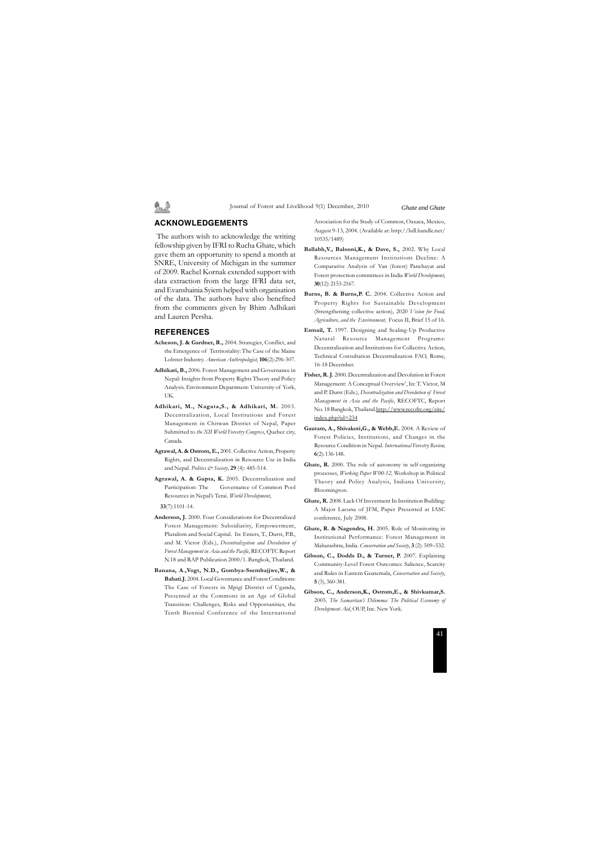#### **ACKNOWLEDGEMENTS**

 The authors wish to acknowledge the writing fellowship given by IFRI to Rucha Ghate, which gave them an opportunity to spend a month at SNRE, University of Michigan in the summer of 2009. Rachel Kornak extended support with data extraction from the large IFRI data set, and Evanshainia Syiem helped with organisation of the data. The authors have also benefited from the comments given by Bhim Adhikari and Lauren Persha.

#### **REFERENCES**

- **Acheson, J. & Gardner, R.,** 2004. Strategies, Conflict, and the Emergence of Territoriality: The Case of the Maine Lobster Industry. *American Anthropologist*, **106**(2):296-307.
- **Adhikari, B.,** 2006. Forest Management and Governance in Nepal: Insights from Property Rights Theory and Policy Analysis. Environment Department: University of York, UK.
- **Adhikari, M., Nagata,S., & Adhikari, M.** 2003. Decentralization, Local Institutions and Forest Management in Chitwan District of Nepal, Paper Submitted to *the XII World Forestry Congress*, Quebec city, Canada.
- **Agrawal, A. & Ostrom, E.,** 2001. Collective Action, Property Rights, and Decentralization in Resource Use in India and Nepal. *Politics & Society,* **29** (4): 485-514.
- **Agrawal, A. & Gupta, K.** 2005. Decentralization and Participation: The Governance of Common Pool Resources in Nepal's Terai. *World Development*,

**33**(7):1101-14.

- **Anderson, J.** 2000. Four Considerations for Decentralized Forest Management: Subsidiarity, Empowerment, Pluralism and Social Capital. In: Enters, T., Durst, P.B., and M. Victor (Eds.), *Decentralization and Devolution of Forest Management in Asia and the Pacific*, RECOFTC Report N.18 and RAP Publication 2000/1. Bangkok, Thailand.
- **Banana, A.,Vogt, N.D., Gombya-Ssembajjwe,W., & Bahati.J.** 2004. Local Governance and Forest Conditions: The Case of Forests in Mpigi District of Uganda, Presented at the Commons in an Age of Global Transition: Challenges, Risks and Opportunities, the Tenth Biennial Conference of the International

Association for the Study of Common, Oaxaca, Mexico, August 9-13, 2004. (Available at: http://hdl.handle.net/ 10535/1489)

- **Ballabh,V., Balooni,K., & Dave, S.,** 2002. Why Local Resources Management Institutions Decline: A Comparative Analysis of Van (forest) Panchayat and Forest protection committees in India *World Development*, **30**(12): 2153-2167.
- Burns, B. & Burns, P. C. 2004. Collective Action and Property Rights for Sustainable Development (Strengthening collective action), 2020 *Vision for Food, Agriculture, and the Environment,* Focus II, Brief 15 of 16.
- **Esmail, T.** 1997. Designing and Scaling-Up Productive Natural Resource Management Programs: Decentralization and Institutions for Collective Action, Technical Consultation Decentralization FAO, Rome, 16-18 December.
- **Fisher, R. J.** 2000. Decentralization and Devolution in Forest Management: A Conceptual Overview', In: T. Victor, M and P. Durst (Eds.), *Decentralization and Devolution of Forest Management in Asia and the Pacific*, RECOFTC, Report No. 18 Bangkok, Thailand.http://www.recoftc.org/site/ index.php?id=234
- **Gautam, A., Shivakoti,G., & Webb,E.** 2004. A Review of Forest Policies, Institutions, and Changes in the Resource Condition in Nepal. *International Forestry Review,* **6**(2): 136-148.
- **Ghate, R.** 2000. The role of autonomy in self-organizing processes, *Working Paper W00-12,* Workshop in Political Theory and Policy Analysis, Indiana University, Bloomington.
- **Ghate, R.** 2008. Lack Of Investment In Institution Building: A Major Lacuna of JFM, Paper Presented at IASC conference, July 2008.
- **Ghate, R. & Nagendra, H.** 2005. Role of Monitoring in Institutional Performance: Forest Management in Maharashtra, India. *Conservation and Society*, **3** (2): 509–532.
- Gibson, C., Dodds D., & Turner, P. 2007. Explaining Community-Level Forest Outcomes: Salience, Scarcity and Rules in Eastern Guatemala, *Conservation and Society*, **5** (3), 360-381.
- **Gibson, C., Anderson,K., Ostrom,E., & Shivkumar,S.** 2005. *The Samaritan's Dilemma: The Political Economy of Development Aid*, OUP, Inc. New York.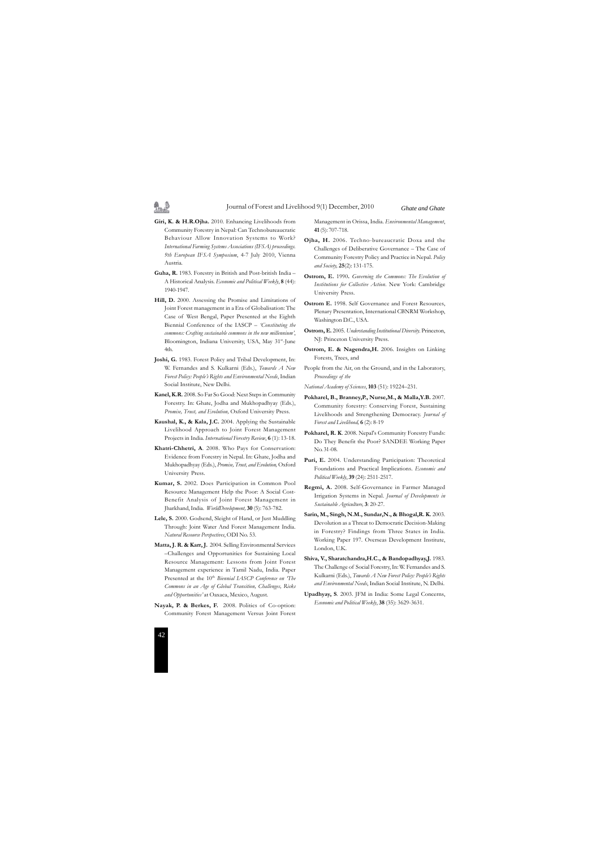

**Giri, K. & H.R.Ojha.** 2010. Enhancing Livelihoods from Community Forestry in Nepal: Can Technobureaucratic Behaviour Allow Innovation Systems to Work? *International Farming Systems Associations (IFSA) proceedings. 9th European IFSA Symposium*, 4-7 July 2010, Vienna Austria.

劉逵

- **Guha, R.** 1983. Forestry in British and Post-british India A Historical Analysis. *Economic and Political Weekly*, **8** (44): 1940-1947.
- **Hill, D.** 2000. Assessing the Promise and Limitations of Joint Forest management in a Era of Globalisation: The Case of West Bengal, Paper Presented at the Eighth Biennial Conference of the IASCP *– 'Constituting the commons: Crafting sustainable commons in the new millennium'*, Bloomington, Indiana University, USA, May 31st-June 4th.
- **Joshi, G.** 1983. Forest Policy and Tribal Development, In: W. Fernandes and S. Kulkarni (Eds.), *Towards A New Forest Policy: People's Rights and Environmental Needs*, Indian Social Institute, New Delhi.
- **Kanel, K.R.** 2008. So Far So Good: Next Steps in Community Forestry. In: Ghate, Jodha and Mukhopadhyay (Eds.), *Promise, Trust, and Evolution,* Oxford University Press.
- **Kaushal, K., & Kala, J.C.** 2004. Applying the Sustainable Livelihood Approach to Joint Forest Management Projects in India. *International Forestry Review*, **6** (1): 13-18.
- **Khatri-Chhetri, A**. 2008. Who Pays for Conservation: Evidence from Forestry in Nepal. In: Ghate, Jodha and Mukhopadhyay (Eds.), *Promise, Trust, and Evolution,* Oxford University Press.
- **Kumar, S.** 2002. Does Participation in Common Pool Resource Management Help the Poor: A Social Cost-Benefit Analysis of Joint Forest Management in Jharkhand, India. *WorldDevelopment,* **30** (5): 763-782.
- **Lele, S.** 2000. Godsend, Sleight of Hand, or Just Muddling Through: Joint Water And Forest Management India. *Natural Resource Perspectives*, ODI No. 53.
- **Matta, J. R. & Karr, J.** 2004. Selling Environmental Services –Challenges and Opportunities for Sustaining Local Resource Management: Lessons from Joint Forest Management experience in Tamil Nadu, India. Paper Presented at the 10<sup>th</sup> *Biennial LASCP Conference on 'The Commons in an Age of Global Transition, Challenges, Risks and Opportunities'* at Oaxaca, Mexico, August.
- **Nayak, P. & Berkes, F.** 2008. Politics of Co-option: Community Forest Management Versus Joint Forest

Management in Orissa, India. *Environmental Management*, **41** (5): 707-718.

- **Ojha, H.** 2006. Techno-bureaucratic Doxa and the Challenges of Deliberative Governance – The Case of Community Forestry Policy and Practice in Nepal. *Policy and Society,* **25**(2): 131-175.
- **Ostrom, E.** 1990**.** *Governing the Commons: The Evolution of Institutions for Collective Action*. New York: Cambridge University Press.
- **Ostrom E.** 1998. Self Governance and Forest Resources, Plenary Presentation, International CBNRM Workshop, Washington D.C., USA.
- **Ostrom, E.** 2005. *Understanding Institutional Diversity*. Princeton, NJ: Princeton University Press.
- **Ostrom, E. & Nagendra,H.** 2006. Insights on Linking Forests, Trees, and
- People from the Air, on the Ground, and in the Laboratory, *Proceedings of the*

*National Academy of Sciences*, **103** (51): 19224–231.

- **Pokharel, B., Branney,P., Nurse,M., & Malla,Y.B.** 2007. Community forestry: Conserving Forest, Sustaining Livelihoods and Strengthening Democracy. *Journal of Forest and Livelihood,* **6** (2): 8-19
- **Pokharel, R. K**. 2008. Nepal's Community Forestry Funds: Do They Benefit the Poor? SANDEE Working Paper No. 31-08.
- Puri, E. 2004. Understanding Participation: Theoretical Foundations and Practical Implications. *Economic and Political Weekly*, **39** (24): 2511-2517.
- **Regmi, A.** 2008. Self-Governance in Farmer Managed Irrigation Systems in Nepal. *Journal of Developments in Sustainable Agriculture,* **3**: 20-27.
- **Sarin, M., Singh, N.M., Sundar,N., & Bhogal,R. K.** 2003. Devolution as a Threat to Democratic Decision-Making in Forestry? Findings from Three States in India. Working Paper 197. Overseas Development Institute, London, U.K.
- **Shiva, V., Sharatchandra,H.C., & Bandopadhyay,J.** 1983. The Challenge of Social Forestry, In: W. Fernandes and S. Kulkarni (Eds.), *Towards A New Forest Policy: People's Rights and Environmental Needs*, Indian Social Institute, N. Delhi.
- **Upadhyay, S**. 2003. JFM in India: Some Legal Concerns, *Economic and Political Weekly*, **38** (35): 3629-3631.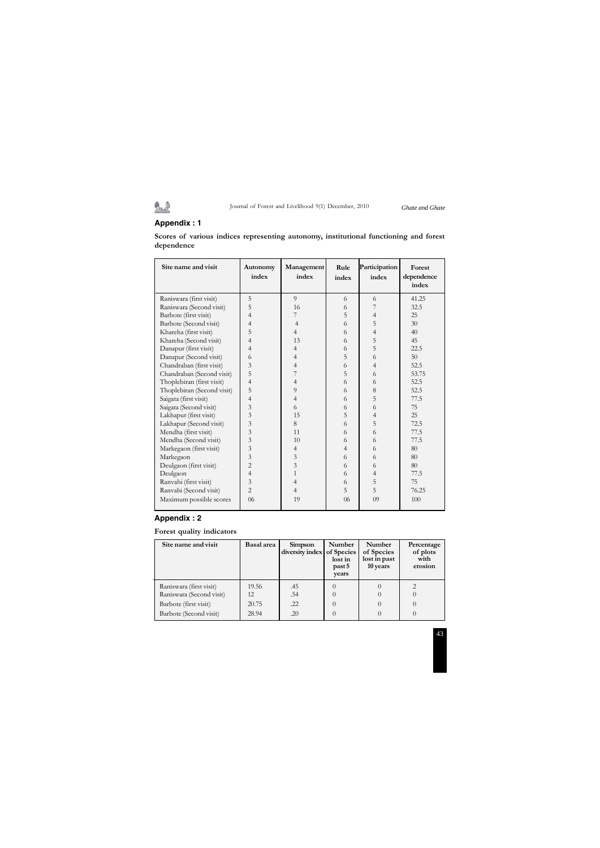# Journal of Forest and Livelihood 9(1) December, 2010 *Ghate and Ghate*

# **Appendix : 1**

鱼鱼

**Scores of various indices representing autonomy, institutional functioning and forest dependence**

| Site name and visit        | Autonomy<br>index | Management<br>index | Rule<br>index  | Participation<br>index | Forest<br>dependence<br>index |
|----------------------------|-------------------|---------------------|----------------|------------------------|-------------------------------|
| Raniswara (first visit)    | 5                 | $\overline{Q}$      | 6              | 6                      | 41.25                         |
| Raniswara (Second visit)   | 5                 | 16                  | 6              | 7                      | 32.5                          |
| Barbote (first visit)      | 4                 | 7                   | 5              | $\overline{4}$         | 25                            |
| Barbote (Second visit)     | 4                 | $\overline{4}$      | 6              | 5                      | 30                            |
| Khareha (first visit)      | 5                 | 4                   | 6              | $\overline{4}$         | 40                            |
| Khareha (Second visit)     | 4                 | 13                  | 6              | 5                      | 45                            |
| Danapur (first visit)      | 4                 | $\overline{4}$      | 6              | 5                      | 22.5                          |
| Danapur (Second visit)     | 6                 | 4                   | 5              | 6                      | 50                            |
| Chandraban (first visit)   | 3                 | $\overline{4}$      | 6              | $\overline{4}$         | 52.5                          |
| Chandraban (Second visit)  | 5                 | 7                   | 5              | 6                      | 53.75                         |
| Thoplebiran (first visit)  | 4                 | $\overline{4}$      | 6              | 6                      | 52.5                          |
| Thoplebiran (Second visit) | 5                 | 9                   | 6              | 8                      | 52.5                          |
| Saigata (first visit)      | 4                 | $\overline{4}$      | 6              | 5                      | 77.5                          |
| Saigata (Second visit)     | 3                 | 6                   | 6              | 6                      | 75                            |
| Lakhapur (first visit)     | 3                 | 15                  | 5              | 4                      | 25                            |
| Lakhapur (Second visit)    | 3                 | 8                   | 6              | 5                      | 72.5                          |
| Mendha (first visit)       | 3                 | 11                  | 6              | 6                      | 77.5                          |
| Mendha (Second visit)      | 3                 | 10                  | 6              | 6                      | 77.5                          |
| Markegaon (first visit)    | 3                 | 4                   | $\overline{4}$ | 6                      | 80                            |
| Markegaon                  | 3                 | 3                   | 6              | 6                      | 80                            |
| Deulgaon (first visit)     | $\overline{c}$    | $\overline{3}$      | 6              | 6                      | 80                            |
| Deulgaon                   | $\overline{4}$    | $\mathbf{1}$        | 6              | 4                      | 77.5                          |
| Ranvahi (first visit)      | 3                 | $\overline{4}$      | 6              | 5                      | 75                            |
| Ranvahi (Second visit)     | $\overline{2}$    | 4                   | 5              | 5                      | 76.25                         |
| Maximum possible scores    | 06                | 19                  | 06             | 09                     | 100                           |

# **Appendix : 2**

### **Forest quality indicators**

| Site name and visit                                                                                    | <b>Basal</b> area             | Simpson<br>diversity index | Number<br>of Species<br>lost in<br>past 5<br>years | <b>Number</b><br>of Species<br>lost in past<br>10 years | Percentage<br>of plots<br>with<br>erosion |
|--------------------------------------------------------------------------------------------------------|-------------------------------|----------------------------|----------------------------------------------------|---------------------------------------------------------|-------------------------------------------|
| Raniswara (first visit)<br>Raniswara (Second visit)<br>Barbote (first visit)<br>Barbote (Second visit) | 19.56<br>12<br>20.75<br>28.94 | .45<br>.54<br>.22<br>.20   | $\cup$<br>$\theta$<br>$\theta$                     |                                                         |                                           |